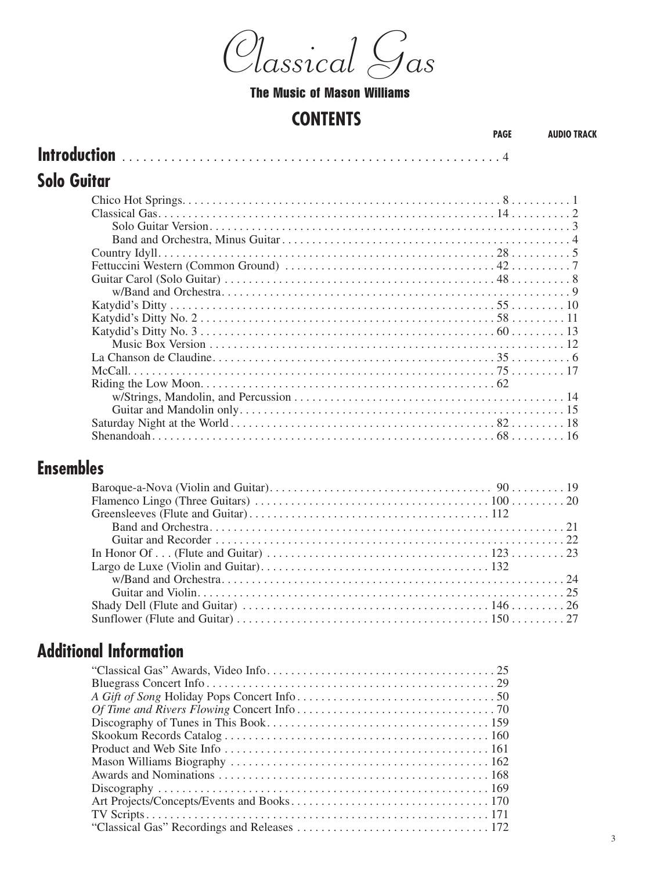$\mathcal{A}$ lassical  $\epsilon$ I *Classical Gas Classical Gas Classical Gas*

### The Music of Mason Williams

#### **CONTENTS CONTENTS**

| . |  |  |  |  |
|---|--|--|--|--|

#### **Solo Guitar Introduction** . . . . . . . . . . . . . . . . . . . . . . . . . . . . . . . . . . . . . . . . . . . . . . . . . . . . . . 4 **Solo Guitar**

#### **Ensembles**  $\mathbf{S}$ **Ensembles**

### **Additional Information Additional Information**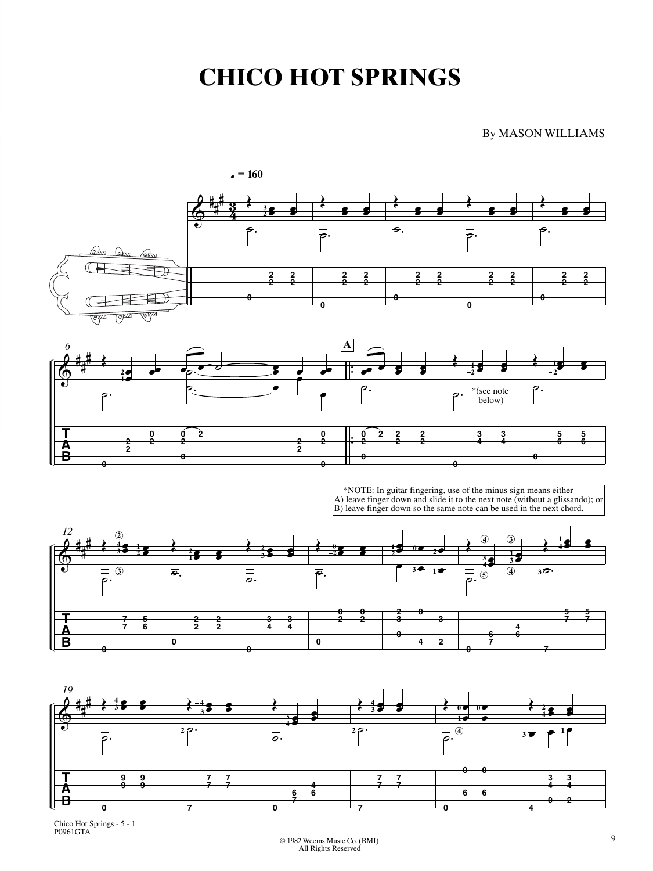## **CHICO HOT SPRINGS**

By MASON WILLIAMS



Chico Hot Springs - 5 - 1 P0961GTA